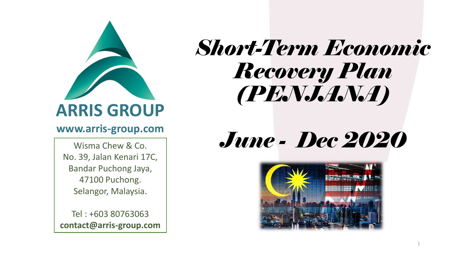

#### **www.arris-group.com**

Wisma Chew & Co. No. 39, Jalan Kenari 17C, Bandar Puchong Jaya, 47100 Puchong. Selangor, Malaysia.

Tel : +603 80763063 **contact@arris-group.com**

# *Short-Term Economic Recovery Plan (PENJANA)*

# *June - Dec 2020*



1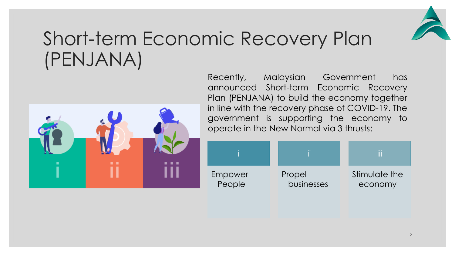

# Short-term Economic Recovery Plan (PENJANA)



Recently, Malaysian Government has announced Short-term Economic Recovery Plan (PENJANA) to build the economy together in line with the recovery phase of COVID-19. The government is supporting the economy to operate in the New Normal via 3 thrusts:

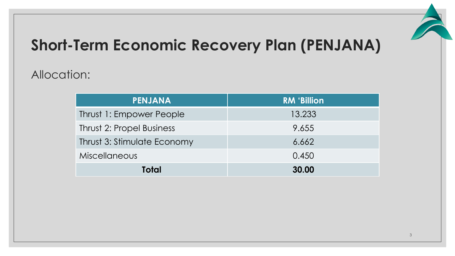

# **Short-Term Economic Recovery Plan (PENJANA)**

# Allocation:

| <b>PENJANA</b>              | <b>RM 'Billion</b> |
|-----------------------------|--------------------|
| Thrust 1: Empower People    | 13.233             |
| Thrust 2: Propel Business   | 9.655              |
| Thrust 3: Stimulate Economy | 6.662              |
| <b>Miscellaneous</b>        | 0.450              |
| Total                       | 30.00              |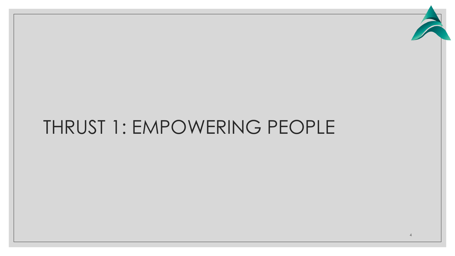

# THRUST 1: EMPOWERING PEOPLE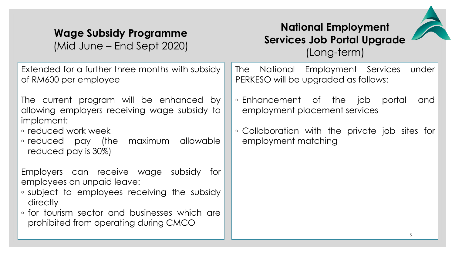### **Wage Subsidy Programme** (Mid June – End Sept 2020)

### **National Employment Services Job Portal Upgrade** (Long-term)

Extended for a further three months with subsidy of RM600 per employee

The current program will be enhanced by allowing employers receiving wage subsidy to implement:

◦ reduced work week

◦ reduced pay (the maximum allowable reduced pay is 30%)

Employers can receive wage subsidy for employees on unpaid leave:

- subject to employees receiving the subsidy directly
- for tourism sector and businesses which are prohibited from operating during CMCO

The National Employment Services under PERKESO will be upgraded as follows:

- Enhancement of the job portal and employment placement services
- Collaboration with the private job sites for employment matching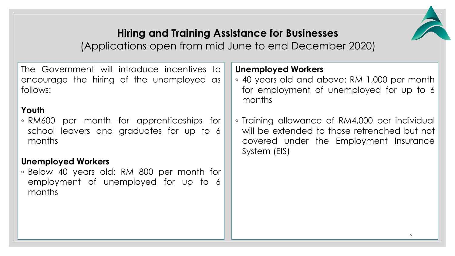

# **Hiring and Training Assistance for Businesses**

(Applications open from mid June to end December 2020)

The Government will introduce incentives to encourage the hiring of the unemployed as follows:

#### **Youth**

◦ RM600 per month for apprenticeships for school leavers and graduates for up to 6 months

#### **Unemployed Workers**

◦ Below 40 years old: RM 800 per month for employment of unemployed for up to 6 months

#### **Unemployed Workers**

- 40 years old and above: RM 1,000 per month for employment of unemployed for up to 6 months
- Training allowance of RM4,000 per individual will be extended to those retrenched but not covered under the Employment Insurance System (EIS)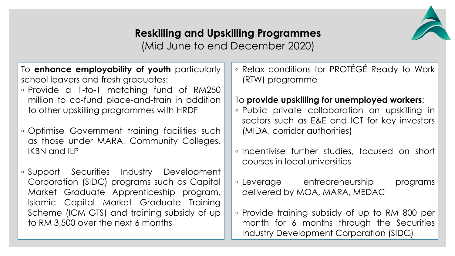# **Reskilling and Upskilling Programmes** (Mid June to end December 2020)

To **enhance employability of youth** particularly school leavers and fresh graduates: ◦ Provide a 1-to-1 matching fund of RM250 million to co-fund place-and-train in addition to other upskilling programmes with HRDF

- Optimise Government training facilities such as those under MARA, Community Colleges, IKBN and ILP
- Support Securities Industry Development Corporation (SIDC) programs such as Capital Market Graduate Apprenticeship program, Islamic Capital Market Graduate Training Scheme (ICM GTS) and training subsidy of up to RM 3,500 over the next 6 months

◦ Relax conditions for PROTÉGÉ Ready to Work (RTW) programme

#### To **provide upskilling for unemployed workers**:

- Public private collaboration on upskilling in sectors such as E&E and ICT for key investors (MIDA, corridor authorities)
- Incentivise further studies, focused on short courses in local universities
- Leverage entrepreneurship programs delivered by MOA, MARA, MEDAC
- Provide training subsidy of up to RM 800 per month for 6 months through the Securities Industry Development Corporation (SIDC)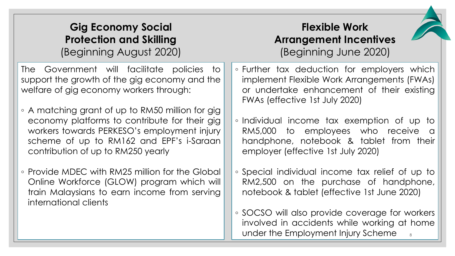### **Gig Economy Social Protection and Skilling** (Beginning August 2020)

The Government will facilitate policies to support the growth of the gig economy and the welfare of gig economy workers through:

- A matching grant of up to RM50 million for gig economy platforms to contribute for their gig workers towards PERKESO's employment injury scheme of up to RM162 and EPF's i-Saraan contribution of up to RM250 yearly
- Provide MDEC with RM25 million for the Global Online Workforce (GLOW) program which will train Malaysians to earn income from serving international clients

# **Flexible Work Arrangement Incentives** (Beginning June 2020)

- Further tax deduction for employers which implement Flexible Work Arrangements (FWAs) or undertake enhancement of their existing FWAs (effective 1st July 2020)
- Individual income tax exemption of up to RM5,000 to employees who receive a handphone, notebook & tablet from their employer (effective 1st July 2020)
- Special individual income tax relief of up to RM2,500 on the purchase of handphone, notebook & tablet (effective 1st June 2020)
- SOCSO will also provide coverage for workers involved in accidents while working at home under the Employment Injury Scheme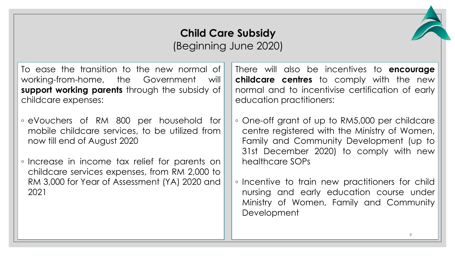### **Child Care Subsidy** (Beginning June 2020)

To ease the transition to the new normal of working-from-home, the Government will **support working parents** through the subsidy of childcare expenses:

- eVouchers of RM 800 per household for mobile childcare services, to be utilized from now till end of August 2020
- Increase in income tax relief for parents on childcare services expenses, from RM 2,000 to RM 3,000 for Year of Assessment (YA) 2020 and 2021

There will also be incentives to **encourage childcare centres** to comply with the new normal and to incentivise certification of early education practitioners:

- One-off grant of up to RM5,000 per childcare centre registered with the Ministry of Women, Family and Community Development (up to 31st December 2020) to comply with new healthcare SOPs
- Incentive to train new practitioners for child nursing and early education course under Ministry of Women, Family and Community **Development**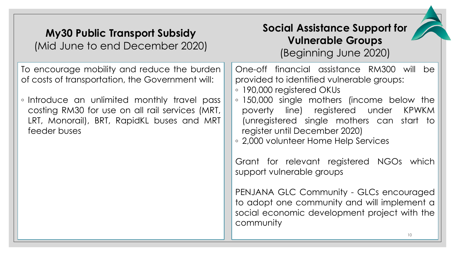# **My30 Public Transport Subsidy** (Mid June to end December 2020)

# **Social Assistance Support for Vulnerable Groups**

(Beginning June 2020)

To encourage mobility and reduce the burden of costs of transportation, the Government will:

◦ Introduce an unlimited monthly travel pass costing RM30 for use on all rail services (MRT, LRT, Monorail), BRT, RapidKL buses and MRT feeder buses

One-off financial assistance RM300 will be provided to identified vulnerable groups:

- 190,000 registered OKUs
- 150,000 single mothers (income below the poverty line) registered under KPWKM (unregistered single mothers can start to register until December 2020)
- 2,000 volunteer Home Help Services

Grant for relevant registered NGOs which support vulnerable groups

PENJANA GLC Community - GLCs encouraged to adopt one community and will implement a social economic development project with the community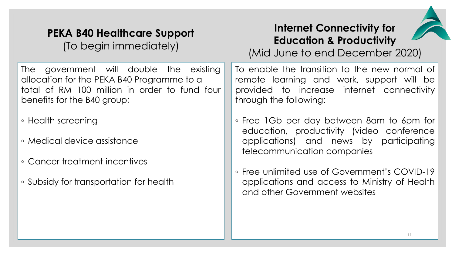#### **PEKA B40 Healthcare Support** (To begin immediately)

The government will double the existing allocation for the PEKA B40 Programme to a total of RM 100 million in order to fund four benefits for the B40 group;

- Health screening
- Medical device assistance
- Cancer treatment incentives
- Subsidy for transportation for health

# **Internet Connectivity for Education & Productivity**

(Mid June to end December 2020)

To enable the transition to the new normal of remote learning and work, support will be provided to increase internet connectivity through the following:

- Free 1Gb per day between 8am to 6pm for education, productivity (video conference applications) and news by participating telecommunication companies
- Free unlimited use of Government's COVID-19 applications and access to Ministry of Health and other Government websites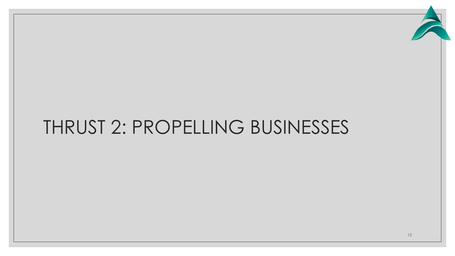

# THRUST 2: PROPELLING BUSINESSES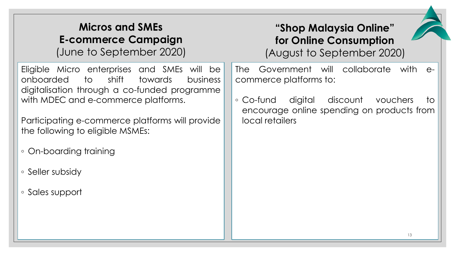# **Micros and SMEs E-commerce Campaign**

(June to September 2020)

Eligible Micro enterprises and SMEs will be onboarded to shift towards business digitalisation through a co-funded programme with MDEC and e-commerce platforms.

Participating e-commerce platforms will provide the following to eligible MSMEs:

- On-boarding training
- Seller subsidy
- Sales support

# **"Shop Malaysia Online" for Online Consumption**

(August to September 2020)

The Government will collaborate with ecommerce platforms to:

◦ Co-fund digital discount vouchers to encourage online spending on products from local retailers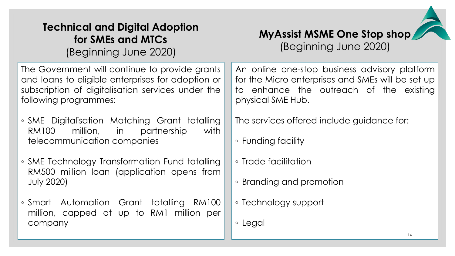# **Technical and Digital Adoption for SMEs and MTCs**

(Beginning June 2020)

The Government will continue to provide grants and loans to eligible enterprises for adoption or subscription of digitalisation services under the following programmes:

- SME Digitalisation Matching Grant totalling RM100 million, in partnership with telecommunication companies
- SME Technology Transformation Fund totalling RM500 million loan (application opens from July 2020)
- Smart Automation Grant totalling RM100 million, capped at up to RM1 million per company

### **MyAssist MSME One Stop shop** (Beginning June 2020)

An online one-stop business advisory platform for the Micro enterprises and SMEs will be set up to enhance the outreach of the existing physical SME Hub.

The services offered include guidance for:

- Funding facility
- Trade facilitation
- Branding and promotion
- Technology support
- Legal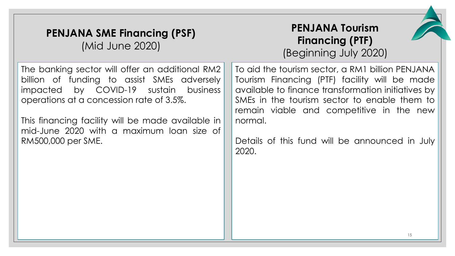| <b>PENJANA SME Financing (PSF)</b> |  |
|------------------------------------|--|
| (Mid June 2020)                    |  |

### **PENJANA Tourism Financing (PTF)** (Beginning July 2020)



The banking sector will offer an additional RM2 billion of funding to assist SMEs adversely impacted by COVID-19 sustain business operations at a concession rate of 3.5%.

This financing facility will be made available in mid-June 2020 with a maximum loan size of RM500,000 per SME.

To aid the tourism sector, a RM1 billion PENJANA Tourism Financing (PTF) facility will be made available to finance transformation initiatives by SMEs in the tourism sector to enable them to remain viable and competitive in the new normal.

Details of this fund will be announced in July 2020.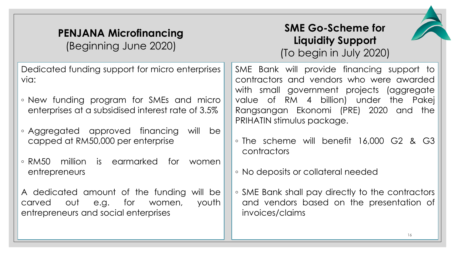#### **PENJANA Microfinancing** (Beginning June 2020)

Dedicated funding support for micro enterprises via:

- New funding program for SMEs and micro enterprises at a subsidised interest rate of 3.5%
- Aggregated approved financing will be capped at RM50,000 per enterprise
- RM50 million is earmarked for women entrepreneurs
- A dedicated amount of the funding will be carved out e.g. for women, youth entrepreneurs and social enterprises

# **SME Go-Scheme for Liquidity Support** (To begin in July 2020)

SME Bank will provide financing support to contractors and vendors who were awarded with small government projects (aggregate value of RM 4 billion) under the Pakej Rangsangan Ekonomi (PRE) 2020 and the PRIHATIN stimulus package.

- The scheme will benefit 16,000 G2 & G3 contractors
- No deposits or collateral needed
- SME Bank shall pay directly to the contractors and vendors based on the presentation of invoices/claims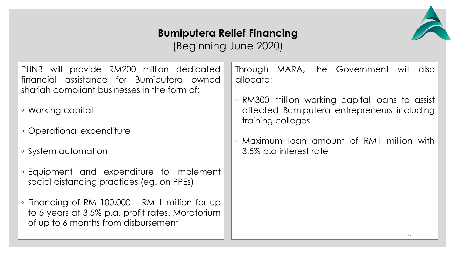### **Bumiputera Relief Financing** (Beginning June 2020)

PUNB will provide RM200 million dedicated financial assistance for Bumiputera owned shariah compliant businesses in the form of:

- Working capital
- Operational expenditure
- System automation
- Equipment and expenditure to implement social distancing practices (eg. on PPEs)
- $\circ$  Financing of RM 100,000 RM 1 million for up to 5 years at 3.5% p.a. profit rates. Moratorium of up to 6 months from disbursement

Through MARA, the Government will also allocate:

- RM300 million working capital loans to assist affected Bumiputera entrepreneurs including training colleges
- Maximum loan amount of RM1 million with 3.5% p.a interest rate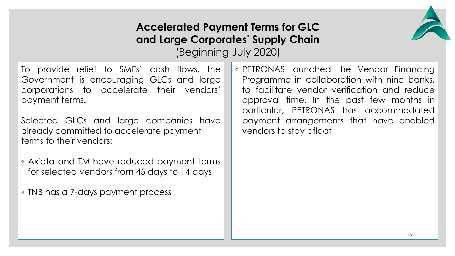# **Accelerated Payment Terms for GLC and Large Corporates' Supply Chain**

(Beginning July 2020)

To provide relief to SMEs' cash flows, the Government is encouraging GLCs and large corporations to accelerate their vendors' payment terms.

Selected GLCs and large companies have already committed to accelerate payment terms to their vendors:

- Axiata and TM have reduced payment terms for selected vendors from 45 days to 14 days
- TNB has a 7-days payment process

◦ PETRONAS launched the Vendor Financing Programme in collaboration with nine banks, to facilitate vendor verification and reduce approval time. In the past few months in particular, PETRONAS has accommodated payment arrangements that have enabled vendors to stay afloat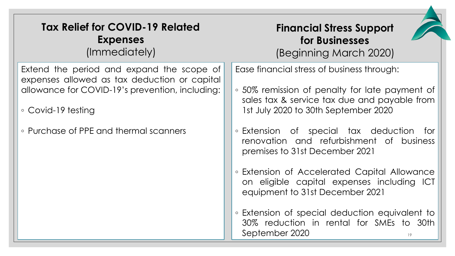| <b>Tax Relief for COVID-19 Related</b>                                                                                                                                                                       | <b>Financial Stress Support</b>                                                                                                                                                                                                                                                                                                                                                                                                                                                                                                                                      |
|--------------------------------------------------------------------------------------------------------------------------------------------------------------------------------------------------------------|----------------------------------------------------------------------------------------------------------------------------------------------------------------------------------------------------------------------------------------------------------------------------------------------------------------------------------------------------------------------------------------------------------------------------------------------------------------------------------------------------------------------------------------------------------------------|
| <b>Expenses</b>                                                                                                                                                                                              | for Businesses                                                                                                                                                                                                                                                                                                                                                                                                                                                                                                                                                       |
| (Immediately)                                                                                                                                                                                                | (Beginning March 2020)                                                                                                                                                                                                                                                                                                                                                                                                                                                                                                                                               |
| Extend the period and expand the scope of<br>expenses allowed as tax deduction or capital<br>allowance for COVID-19's prevention, including:<br>∘ Covid-19 testing<br>∘ Purchase of PPE and thermal scanners | Ease financial stress of business through:<br>◦ 50% remission of penalty for late payment of<br>sales tax & service tax due and payable from<br>1st July 2020 to 30th September 2020<br>• Extension of special tax deduction for<br>renovation and refurbishment of business<br>premises to 31st December 2021<br><b>Extension of Accelerated Capital Allowance</b><br>on eligible capital expenses including ICT<br>equipment to 31st December 2021<br>• Extension of special deduction equivalent to<br>30% reduction in rental for SMEs to 30th<br>September 2020 |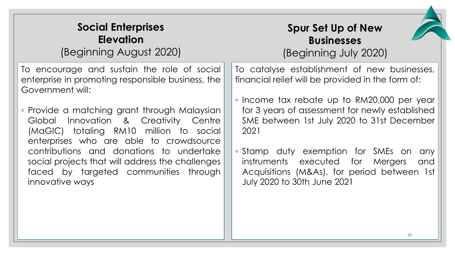# **Social Enterprises Elevation**

(Beginning August 2020)

- To encourage and sustain the role of social enterprise in promoting responsible business, the Government will:
- Provide a matching grant through Malaysian Global Innovation & Creativity Centre (MaGIC) totaling RM10 million to social enterprises who are able to crowdsource contributions and donations to undertake social projects that will address the challenges faced by targeted communities through innovative ways

# **Spur Set Up of New Businesses**

(Beginning July 2020)

To catalyse establishment of new businesses, financial relief will be provided in the form of:

- Income tax rebate up to RM20,000 per year for 3 years of assessment for newly established SME between 1st July 2020 to 31st December 2021
- Stamp duty exemption for SMEs on any instruments executed for Mergers and Acquisitions (M&As), for period between 1st July 2020 to 30th June 2021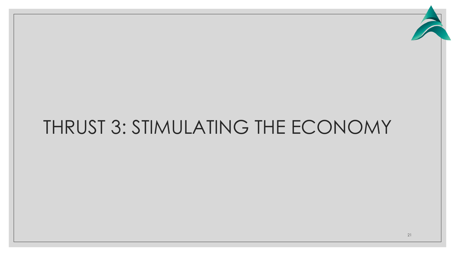

# THRUST 3: STIMULATING THE ECONOMY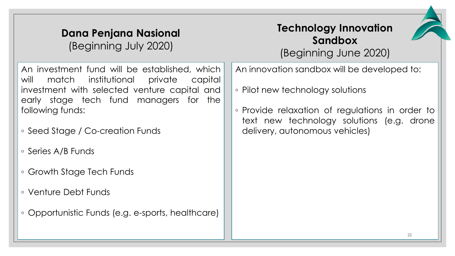#### **Dana Penjana Nasional** (Beginning July 2020)

An investment fund will be established, which will match institutional private capital investment with selected venture capital and early stage tech fund managers for the following funds:

- Seed Stage / Co-creation Funds
- Series A/B Funds
- Growth Stage Tech Funds
- Venture Debt Funds
- Opportunistic Funds (e.g. e-sports, healthcare)

# **Technology Innovation Sandbox**

(Beginning June 2020)

An innovation sandbox will be developed to:

- Pilot new technology solutions
- Provide relaxation of regulations in order to text new technology solutions (e.g. drone delivery, autonomous vehicles)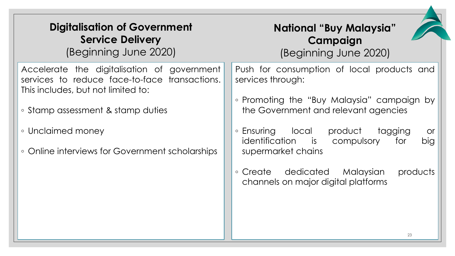| <b>Digitalisation of Government</b><br><b>Service Delivery</b><br>(Beginning June 2020)                                                                                 | <b>National "Buy Malaysia"</b><br>Campaign<br>(Beginning June 2020)                                                                                   |
|-------------------------------------------------------------------------------------------------------------------------------------------------------------------------|-------------------------------------------------------------------------------------------------------------------------------------------------------|
| Accelerate the digitalisation of government<br>services to reduce face-to-face transactions.<br>This includes, but not limited to:<br>• Stamp assessment & stamp duties | Push for consumption of local products and<br>services through:<br>• Promoting the "Buy Malaysia" campaign by<br>the Government and relevant agencies |
| • Unclaimed money<br>• Online interviews for Government scholarships                                                                                                    | • Ensuring local product<br>tagging<br><b>or</b><br>identification is compulsory<br>for<br>big<br>supermarket chains                                  |
|                                                                                                                                                                         | dedicated<br>Malaysian<br>products<br>∘ Create<br>channels on major digital platforms                                                                 |
|                                                                                                                                                                         | 23                                                                                                                                                    |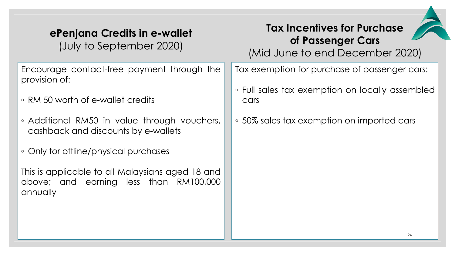### **ePenjana Credits in e-wallet** (July to September 2020)

Encourage contact-free payment through the provision of:

- RM 50 worth of e-wallet credits
- Additional RM50 in value through vouchers, cashback and discounts by e-wallets
- Only for offline/physical purchases

This is applicable to all Malaysians aged 18 and above; and earning less than RM100,000 annually

# **Tax Incentives for Purchase of Passenger Cars**

(Mid June to end December 2020)

Tax exemption for purchase of passenger cars:

- Full sales tax exemption on locally assembled cars
- 50% sales tax exemption on imported cars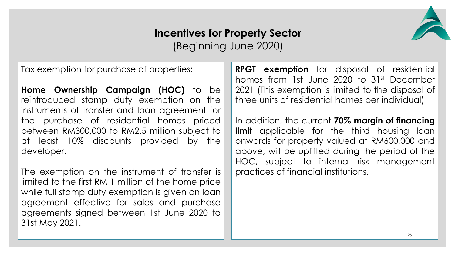### **Incentives for Property Sector** (Beginning June 2020)

Tax exemption for purchase of properties:

**Home Ownership Campaign (HOC)** to be reintroduced stamp duty exemption on the instruments of transfer and loan agreement for the purchase of residential homes priced between RM300,000 to RM2.5 million subject to at least 10% discounts provided by the developer.

The exemption on the instrument of transfer is limited to the first RM 1 million of the home price while full stamp duty exemption is given on loan agreement effective for sales and purchase agreements signed between 1st June 2020 to 31st May 2021.

**RPGT exemption** for disposal of residential homes from 1st June 2020 to 31<sup>st</sup> December 2021 (This exemption is limited to the disposal of three units of residential homes per individual)

In addition, the current **70% margin of financing limit** applicable for the third housing loan onwards for property valued at RM600,000 and above, will be uplifted during the period of the HOC, subject to internal risk management practices of financial institutions.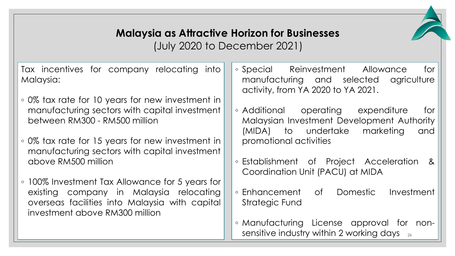# **Malaysia as Attractive Horizon for Businesses** (July 2020 to December 2021)

Tax incentives for company relocating into Malaysia:

- 0% tax rate for 10 years for new investment in manufacturing sectors with capital investment between RM300 - RM500 million
- 0% tax rate for 15 years for new investment in manufacturing sectors with capital investment above RM500 million
- 100% Investment Tax Allowance for 5 years for existing company in Malaysia relocating overseas facilities into Malaysia with capital investment above RM300 million
- Special Reinvestment Allowance for manufacturing and selected agriculture activity, from YA 2020 to YA 2021.
- Additional operating expenditure for Malaysian Investment Development Authority (MIDA) to undertake marketing and promotional activities
- Establishment of Project Acceleration & Coordination Unit (PACU) at MIDA
- Enhancement of Domestic Investment Strategic Fund
- Manufacturing License approval for nonsensitive industry within 2 working days  $_{26}$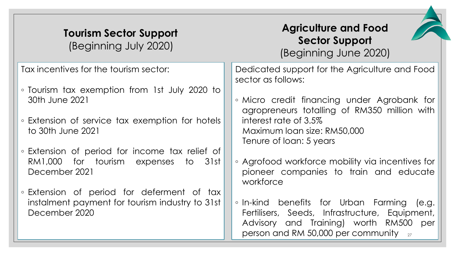| <b>Tourism Sector Support</b> |
|-------------------------------|
| (Beginning July 2020)         |

### **Agriculture and Food Sector Support** (Beginning June 2020)



Tax incentives for the tourism sector:

- Tourism tax exemption from 1st July 2020 to 30th June 2021
- Extension of service tax exemption for hotels to 30th June 2021
- Extension of period for income tax relief of RM1,000 for tourism expenses to 31st December 2021
- Extension of period for deferment of tax instalment payment for tourism industry to 31st December 2020

Dedicated support for the Agriculture and Food sector as follows:

- Micro credit financing under Agrobank for agropreneurs totalling of RM350 million with interest rate of 3.5% Maximum loan size: RM50,000 Tenure of loan: 5 years
- Agrofood workforce mobility via incentives for pioneer companies to train and educate workforce
- In-kind benefits for Urban Farming (e.g. Fertilisers, Seeds, Infrastructure, Equipment, Advisory and Training) worth RM500 per person and RM 50,000 per community  $_{27}$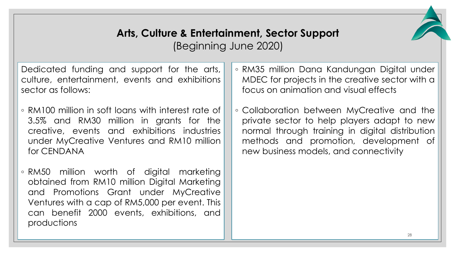

# **Arts, Culture & Entertainment, Sector Support** (Beginning June 2020)

Dedicated funding and support for the arts, culture, entertainment, events and exhibitions sector as follows:

- RM100 million in soft loans with interest rate of 3.5% and RM30 million in grants for the creative, events and exhibitions industries under MyCreative Ventures and RM10 million for CENDANA
- RM50 million worth of digital marketing obtained from RM10 million Digital Marketing and Promotions Grant under MyCreative Ventures with a cap of RM5,000 per event. This can benefit 2000 events, exhibitions, and productions
- RM35 million Dana Kandungan Digital under MDEC for projects in the creative sector with a focus on animation and visual effects
- Collaboration between MyCreative and the private sector to help players adapt to new normal through training in digital distribution methods and promotion, development of new business models, and connectivity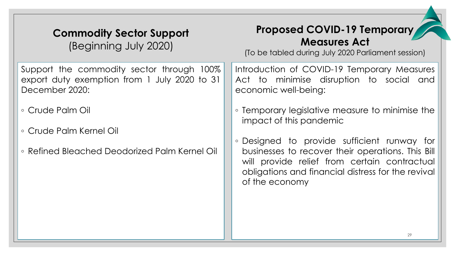| <b>Commodity Sector Support</b><br>(Beginning July 2020)                                                    | <b>Proposed COVID-19 Temporary</b><br><b>Measures Act</b><br>(To be tabled during July 2020 Parliament session)                                                                                                        |
|-------------------------------------------------------------------------------------------------------------|------------------------------------------------------------------------------------------------------------------------------------------------------------------------------------------------------------------------|
| Support the commodity sector through 100%<br>export duty exemption from 1 July 2020 to 31<br>December 2020: | Introduction of COVID-19 Temporary Measures<br>Act to minimise disruption to social and<br>economic well-being:                                                                                                        |
| ∘ Crude Palm Oil<br>• Crude Palm Kernel Oil                                                                 | • Temporary legislative measure to minimise the<br>impact of this pandemic                                                                                                                                             |
| • Refined Bleached Deodorized Palm Kernel Oil                                                               | Designed to provide sufficient runway for<br>businesses to recover their operations. This Bill<br>will provide relief from certain contractual<br>obligations and financial distress for the revival<br>of the economy |
|                                                                                                             | 29                                                                                                                                                                                                                     |